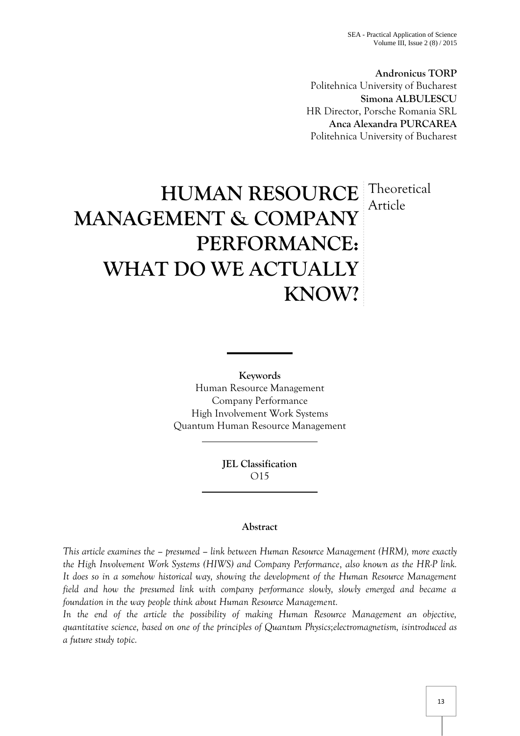**Andronicus TORP** Politehnica University of Bucharest **Simona ALBULESCU** HR Director, Porsche Romania SRL **Anca Alexandra PURCAREA** Politehnica University of Bucharest

# **HUMAN RESOURCE** Theoretical **MANAGEMENT & COMPANY PERFORMANCE: WHAT DO WE ACTUALLY KNOW?** Article

**Keywords** Human Resource Management Company Performance High Involvement Work Systems Quantum Human Resource Management

> **JEL Classification** O15

# **Abstract**

*This article examines the – presumed – link between Human Resource Management (HRM), more exactly the High Involvement Work Systems (HIWS) and Company Performance, also known as the HR-P link. It does so in a somehow historical way, showing the development of the Human Resource Management field and how the presumed link with company performance slowly, slowly emerged and became a foundation in the way people think about Human Resource Management.*

*In the end of the article the possibility of making Human Resource Management an objective, quantitative science, based on one of the principles of Quantum Physics;electromagnetism, isintroduced as a future study topic.*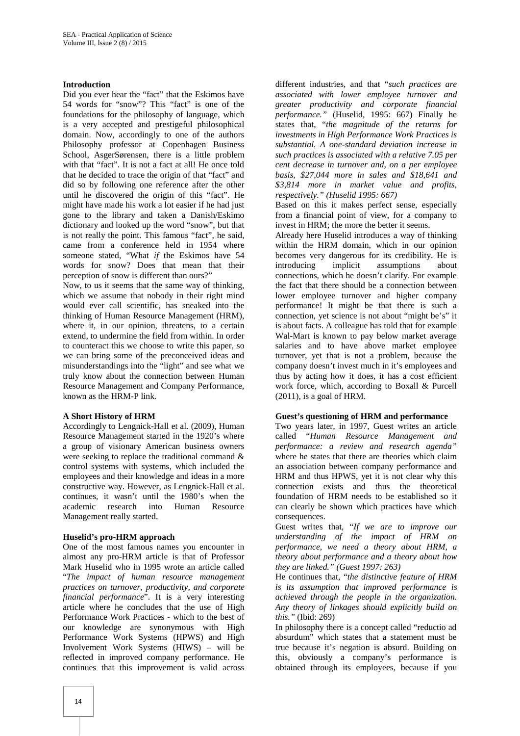### **Introduction**

Did you ever hear the "fact" that the Eskimos have 54 words for "snow"? This "fact" is one of the foundations for the philosophy of language, which is a very accepted and prestigeful philosophical domain. Now, accordingly to one of the authors Philosophy professor at Copenhagen Business School, AsgerSørensen, there is a little problem with that "fact". It is not a fact at all! He once told that he decided to trace the origin of that "fact" and did so by following one reference after the other until he discovered the origin of this "fact". He might have made his work a lot easier if he had just gone to the library and taken a Danish/Eskimo dictionary and looked up the word "snow", but that is not really the point. This famous "fact", he said, came from a conference held in 1954 where someone stated, "What *if* the Eskimos have 54 words for snow? Does that mean that their perception of snow is different than ours?"

Now, to us it seems that the same way of thinking, which we assume that nobody in their right mind would ever call scientific, has sneaked into the thinking of Human Resource Management (HRM), where it, in our opinion, threatens, to a certain extend, to undermine the field from within. In order to counteract this we choose to write this paper, so we can bring some of the preconceived ideas and misunderstandings into the "light" and see what we truly know about the connection between Human Resource Management and Company Performance, known as the HRM-P link.

#### **A Short History of HRM**

Accordingly to Lengnick-Hall et al. (2009), Human Resource Management started in the 1920's where a group of visionary American business owners were seeking to replace the traditional command & control systems with systems, which included the employees and their knowledge and ideas in a more constructive way. However, as Lengnick-Hall et al. continues, it wasn't until the 1980's when the academic research into Human Resource Management really started.

#### **Huselid's pro-HRM approach**

One of the most famous names you encounter in almost any pro-HRM article is that of Professor Mark Huselid who in 1995 wrote an article called "*The impact of human resource management practices on turnover, productivity, and corporate financial performance*". It is a very interesting article where he concludes that the use of High Performance Work Practices - which to the best of our knowledge are synonymous with High Performance Work Systems (HPWS) and High Involvement Work Systems (HIWS) – will be reflected in improved company performance. He continues that this improvement is valid across

different industries, and that "*such practices are associated with lower employee turnover and greater productivity and corporate financial performance."* (Huselid, 1995: 667) Finally he states that, "*the magnitude of the returns for investments in High Performance Work Practices is substantial. A one-standard deviation increase in such practices is associated with a relative 7.05 per cent decrease in turnover and, on a per employee basis, \$27,044 more in sales and \$18,641 and \$3,814 more in market value and profits, respectively." (Huselid 1995: 667)*

Based on this it makes perfect sense, especially from a financial point of view, for a company to invest in HRM; the more the better it seems.

Already here Huselid introduces a way of thinking within the HRM domain, which in our opinion becomes very dangerous for its credibility. He is introducing implicit assumptions about connections, which he doesn't clarify. For example the fact that there should be a connection between lower employee turnover and higher company performance! It might be that there is such a connection, yet science is not about "might be's" it is about facts. A colleague has told that for example Wal-Mart is known to pay below market average salaries and to have above market employee turnover, yet that is not a problem, because the company doesn't invest much in it's employees and thus by acting how it does, it has a cost efficient work force, which, according to Boxall & Purcell (2011), is a goal of HRM.

#### **Guest's questioning of HRM and performance**

Two years later, in 1997, Guest writes an article called "*Human Resource Management and performance: a review and research agenda"* where he states that there are theories which claim an association between company performance and HRM and thus HPWS, yet it is not clear why this connection exists and thus the theoretical foundation of HRM needs to be established so it can clearly be shown which practices have which consequences.

Guest writes that, "*If we are to improve our understanding of the impact of HRM on performance, we need a theory about HRM, a theory about performance and a theory about how they are linked." (Guest 1997: 263)*

He continues that, "*the distinctive feature of HRM is its assumption that improved performance is achieved through the people in the organization. Any theory of linkages should explicitly build on this."* (Ibid: 269)

In philosophy there is a concept called "reductio ad absurdum" which states that a statement must be true because it's negation is absurd. Building on this, obviously a company's performance is obtained through its employees, because if you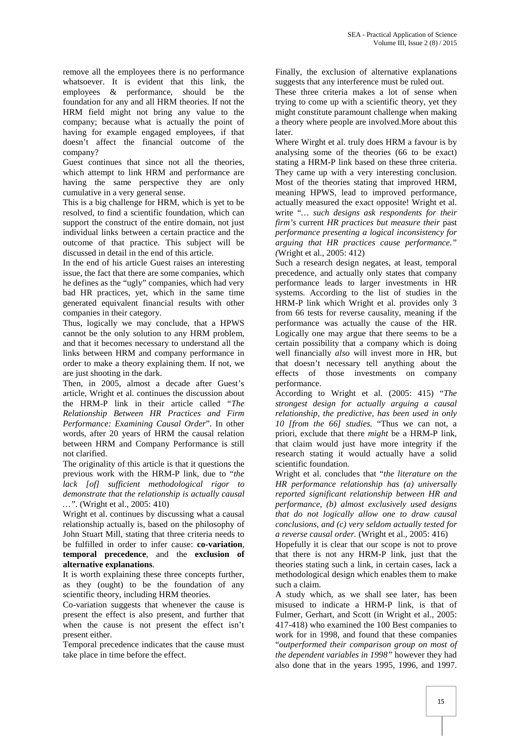remove all the employees there is no performance whatsoever. It is evident that this link, the employees & performance, should be the foundation for any and all HRM theories. If not the HRM field might not bring any value to the company; because what is actually the point of having for example engaged employees, if that doesn't affect the financial outcome of the company?

Guest continues that since not all the theories, which attempt to link HRM and performance are having the same perspective they are only cumulative in a very general sense.

This is a big challenge for HRM, which is yet to be resolved, to find a scientific foundation, which can support the construct of the entire domain, not just individual links between a certain practice and the outcome of that practice. This subject will be discussed in detail in the end of this article.

In the end of his article Guest raises an interesting issue, the fact that there are some companies, which he defines as the "ugly" companies, which had very bad HR practices, yet, which in the same time generated equivalent financial results with other companies in their category.

Thus, logically we may conclude, that a HPWS cannot be the only solution to any HRM problem, and that it becomes necessary to understand all the links between HRM and company performance in order to make a theory explaining them. If not, we are just shooting in the dark.

Then, in 2005, almost a decade after Guest's article, Wright et al. continues the discussion about the HRM-P link in their article called "*The Relationship Between HR Practices and Firm Performance: Examining Causal Order*". In other words, after 20 years of HRM the causal relation between HRM and Company Performance is still not clarified.

The originality of this article is that it questions the previous work with the HRM-P link, due to "*the lack [of] sufficient methodological rigor to demonstrate that the relationship is actually causal …"*. (Wright et al., 2005: 410)

Wright et al. continues by discussing what a causal relationship actually is, based on the philosophy of John Stuart Mill, stating that three criteria needs to be fulfilled in order to infer cause: **co-variation**, **temporal precedence**, and the **exclusion of alternative explanations**.

It is worth explaining these three concepts further, as they (ought) to be the foundation of any scientific theory, including HRM theories.

Co-variation suggests that whenever the cause is present the effect is also present, and further that when the cause is not present the effect isn't present either.

Temporal precedence indicates that the cause must take place in time before the effect.

Finally, the exclusion of alternative explanations suggests that any interference must be ruled out.

These three criteria makes a lot of sense when trying to come up with a scientific theory, yet they might constitute paramount challenge when making a theory where people are involved.More about this later.

Where Wirght et al. truly does HRM a favour is by analysing some of the theories (66 to be exact) stating a HRM-P link based on these three criteria. They came up with a very interesting conclusion. Most of the theories stating that improved HRM, meaning HPWS, lead to improved performance, actually measured the exact opposite! Wright et al. write "*… such designs ask respondents for their firm's* current *HR practices but measure their* past *performance presenting a logical inconsistency for arguing that HR practices cause performance." (*Wright et al., 2005: 412)

Such a research design negates, at least, temporal precedence, and actually only states that company performance leads to larger investments in HR systems. According to the list of studies in the HRM-P link which Wright et al. provides only 3 from 66 tests for reverse causality, meaning if the performance was actually the cause of the HR. Logically one may argue that there seems to be a certain possibility that a company which is doing well financially *also* will invest more in HR, but that doesn't necessary tell anything about the effects of those investments on company performance.

According to Wright et al. (2005: 415) "*The strongest design for actually arguing a causal relationship, the predictive, has been used in only 10 [from the 66] studies.* "Thus we can not, a priori, exclude that there *might* be a HRM-P link, that claim would just have more integrity if the research stating it would actually have a solid scientific foundation.

Wright et al. concludes that "*the literature on the HR performance relationship has (a) universally reported significant relationship between HR and performance, (b) almost exclusively used designs that do not logically allow one to draw causal conclusions, and (c) very seldom actually tested for a reverse causal order.* (Wright et al., 2005: 416)

Hopefully it is clear that our scope is not to prove that there is not any HRM-P link, just that the theories stating such a link, in certain cases, lack a methodological design which enables them to make such a claim.

A study which, as we shall see later, has been misused to indicate a HRM-P link, is that of Fulmer, Gerhart, and Scott (in Wright et al., 2005: 417-418) who examined the 100 Best companies to work for in 1998, and found that these companies "*outperformed their comparison group on most of the dependent variables in 1998"* however they had also done that in the years 1995, 1996, and 1997.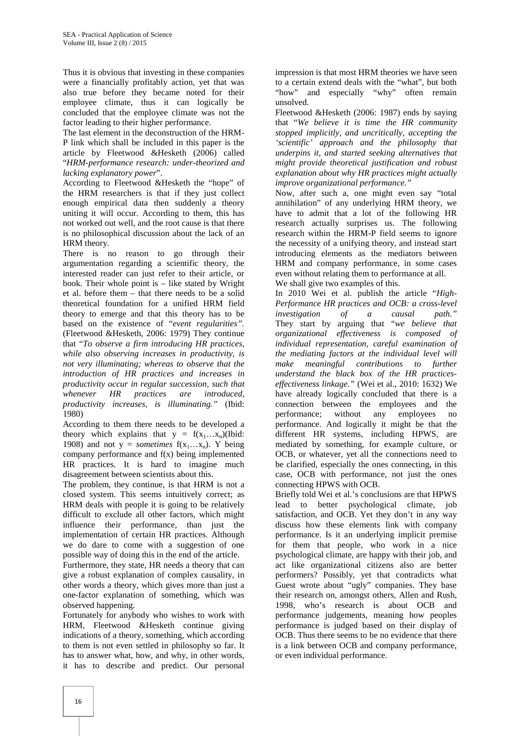Thus it is obvious that investing in these companies were a financially profitably action, yet that was also true before they became noted for their employee climate, thus it can logically be concluded that the employee climate was not the factor leading to their higher performance.

The last element in the deconstruction of the HRM- P link which shall be included in this paper is the article by Fleetwood &Hesketh (2006) called "*HRM-performance research: under-theorized and lacking explanatory power*".

According to Fleetwood &Hesketh the "hope" of the HRM researchers is that if they just collect enough empirical data then suddenly a theory uniting it will occur. According to them, this has not worked out well, and the root cause is that there is no philosophical discussion about the lack of an HRM theory.

There is no reason to go through their argumentation regarding a scientific theory, the interested reader can just refer to their article, or book. Their whole point is – like stated by Wright et al. before them – that there needs to be a solid theoretical foundation for a unified HRM field theory to emerge and that this theory has to be based on the existence of "*event regularities".* (Fleetwood &Hesketh, 2006: 1979) They continue that "*To observe a firm introducing HR practices, while also observing increases in productivity, is not very illuminating; whereas to observe that the introduction of HR practices and increases in productivity occur in regular succession, such that whenever HR practices are introduced, productivity increases, is illuminating."* (Ibid: 1980)

According to them there needs to be developed a theory which explains that  $y = f(x_1...x_n)$ (Ibid: 1908) and not  $y =$  *sometimes*  $f(x_1...x_n)$ . Y being company performance and f(x) being implemented HR practices. It is hard to imagine much disagreement between scientists about this.

The problem, they continue, is that HRM is not a closed system. This seems intuitively correct; as HRM deals with people it is going to be relatively difficult to exclude all other factors, which might influence their performance, than just the implementation of certain HR practices. Although we do dare to come with a suggestion of one possible way of doing this in the end of the article.

Furthermore, they state, HR needs a theory that can give a robust explanation of complex causality, in other words a theory, which gives more than just a one-factor explanation of something, which was observed happening.

Fortunately for anybody who wishes to work with HRM, Fleetwood &Hesketh continue giving indications of a theory, something, which according to them is not even settled in philosophy so far. It has to answer what, how, and why, in other words, it has to describe and predict. Our personal

impression is that most HRM theories we have seen to a certain extend deals with the "what", but both "how" and especially "why" often remain unsolved.

Fleetwood &Hesketh (2006: 1987) ends by saying that "*We believe it is time the HR community stopped implicitly, and uncritically, accepting the 'scientific' approach and the philosophy that underpins it, and started seeking alternatives that might provide theoretical justification and robust explanation about why HR practices might actually improve organizational performance."*

Now, after such a, one might even say "total annihilation" of any underlying HRM theory, we have to admit that a lot of the following HR research actually surprises us. The following research within the HRM-P field seems to ignore the necessity of a unifying theory, and instead start introducing elements as the mediators between HRM and company performance, in some cases even without relating them to performance at all. We shall give two examples of this.

In 2010 Wei et al. publish the article "*High- Performance HR practices and OCB: a cross-level investigation of a causal path."* They start by arguing that "*we believe that organizational effectiveness is composed of individual representation, careful examination of the mediating factors at the individual level will make meaningful contributions to further understand the black box of the HR practices effectiveness linkage."* (Wei et al., 2010: 1632) We have already logically concluded that there is a connection between the employees and the performance; without any employees no performance. And logically it might be that the different HR systems, including HPWS, are mediated by something, for example culture, or OCB, or whatever, yet all the connections need to be clarified, especially the ones connecting, in this case, OCB with performance, not just the ones connecting HPWS with OCB.

Briefly told Wei et al.'s conclusions are that HPWS lead to better psychological climate, job satisfaction, and OCB. Yet they don't in any way discuss how these elements link with company performance. Is it an underlying implicit premise for them that people, who work in a nice psychological climate, are happy with their job, and act like organizational citizens also are better performers? Possibly, yet that contradicts what Guest wrote about "ugly" companies. They base their research on, amongst others, Allen and Rush, 1998, who's research is about OCB and performance judgements, meaning how peoples performance is judged based on their display of OCB. Thus there seems to be no evidence that there is a link between OCB and company performance, or even individual performance.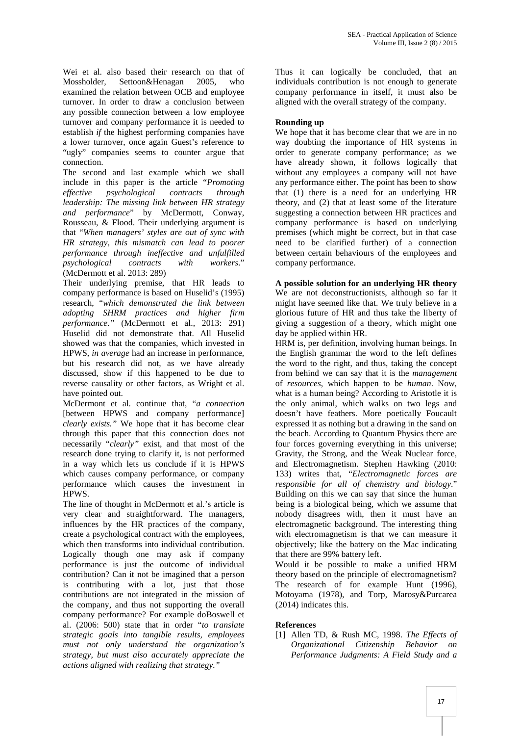Wei et al. also based their research on that of Mossholder, Settoon&Henagan 2005, who examined the relation between OCB and employee turnover. In order to draw a conclusion between any possible connection between a low employee turnover and company performance it is needed to establish *if* the highest performing companies have a lower turnover, once again Guest's reference to "ugly" companies seems to counter argue that connection.

The second and last example which we shall include in this paper is the article "*Promoting effective psychological contracts through leadership: The missing link between HR strategy and performance*" by McDermott, Conway, Rousseau, & Flood. Their underlying argument is that "*When managers' styles are out of sync with HR strategy, this mismatch can lead to poorer performance through ineffective and unfulfilled psychological contracts with* (McDermott et al. 2013: 289)

Their underlying premise, that HR leads to company performance is based on Huselid's (1995) research, "*which demonstrated the link between adopting SHRM practices and higher firm performance."* (McDermott et al., 2013: 291) Huselid did not demonstrate that. All Huselid showed was that the companies, which invested in HPWS, *in average* had an increase in performance, but his research did not, as we have already discussed, show if this happened to be due to reverse causality or other factors, as Wright et al. have pointed out.

McDermont et al. continue that, "*a connection* [between HPWS and company performance] *clearly exists."* We hope that it has become clear through this paper that this connection does not necessarily "*clearly"* exist, and that most of the research done trying to clarify it, is not performed in a way which lets us conclude if it is HPWS which causes company performance, or company performance which causes the investment in HPWS.

The line of thought in McDermott et al.'s article is very clear and straightforward. The managers, influences by the HR practices of the company, create a psychological contract with the employees, which then transforms into individual contribution. Logically though one may ask if company performance is just the outcome of individual contribution? Can it not be imagined that a person is contributing with a lot, just that those contributions are not integrated in the mission of the company, and thus not supporting the overall company performance? For example doBoswell et al. (2006: 500) state that in order "*to translate strategic goals into tangible results, employees must not only understand the organization's strategy, but must also accurately appreciate the actions aligned with realizing that strategy."*

Thus it can logically be concluded, that an individuals contribution is not enough to generate company performance in itself, it must also be aligned with the overall strategy of the company.

## **Rounding up**

We hope that it has become clear that we are in no way doubting the importance of HR systems in order to generate company performance; as we have already shown, it follows logically that without any employees a company will not have any performance either. The point has been to show that (1) there is a need for an underlying HR theory, and (2) that at least some of the literature suggesting a connection between HR practices and company performance is based on underlying premises (which might be correct, but in that case need to be clarified further) of a connection between certain behaviours of the employees and company performance.

**A possible solution for an underlying HR theory** We are not deconstructionists, although so far it might have seemed like that. We truly believe in a glorious future of HR and thus take the liberty of giving a suggestion of a theory, which might one day be applied within HR.

HRM is, per definition, involving human beings. In the English grammar the word to the left defines the word to the right, and thus, taking the concept from behind we can say that it is the *management* of *resources*, which happen to be *human*. Now, what is a human being? According to Aristotle it is the only animal, which walks on two legs and doesn't have feathers. More poetically Foucault expressed it as nothing but a drawing in the sand on the beach. According to Quantum Physics there are four forces governing everything in this universe; Gravity, the Strong, and the Weak Nuclear force, and Electromagnetism. Stephen Hawking (2010: 133) writes that, "*Electromagnetic forces are responsible for all of chemistry and biology*." Building on this we can say that since the human being is a biological being, which we assume that nobody disagrees with, then it must have an electromagnetic background. The interesting thing with electromagnetism is that we can measure it objectively; like the battery on the Mac indicating that there are 99% battery left.

Would it be possible to make a unified HRM theory based on the principle of electromagnetism? The research of for example Hunt (1996), Motoyama (1978), and Torp, Marosy&Purcarea (2014) indicates this.

## **References**

[1] Allen TD, & Rush MC, 1998. *The Effects of Organizational Citizenship Behavior on Performance Judgments: A Field Study and a*